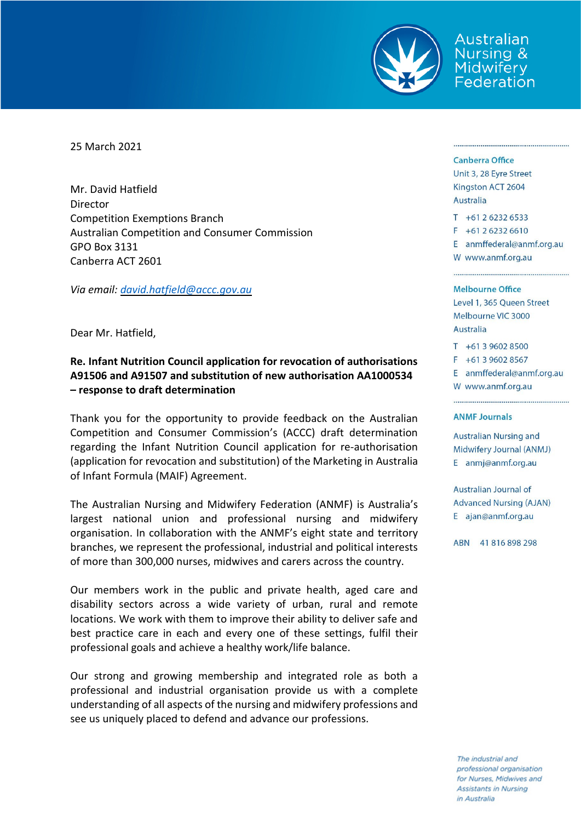

Australian **Nursing &** Midwifery Federation

25 March 2021

Mr. David Hatfield Director Competition Exemptions Branch Australian Competition and Consumer Commission GPO Box 3131 Canberra ACT 2601

*Via email: [david.hatfield@accc.gov.au](mailto:david.hatfield@accc.gov.au)*

Dear Mr. Hatfield,

## **Re. Infant Nutrition Council application for revocation of authorisations A91506 and A91507 and substitution of new authorisation AA1000534 – response to draft determination**

Thank you for the opportunity to provide feedback on the Australian Competition and Consumer Commission's (ACCC) draft determination regarding the Infant Nutrition Council application for re-authorisation (application for revocation and substitution) of the Marketing in Australia of Infant Formula (MAIF) Agreement.

The Australian Nursing and Midwifery Federation (ANMF) is Australia's largest national union and professional nursing and midwifery organisation. In collaboration with the ANMF's eight state and territory branches, we represent the professional, industrial and political interests of more than 300,000 nurses, midwives and carers across the country.

Our members work in the public and private health, aged care and disability sectors across a wide variety of urban, rural and remote locations. We work with them to improve their ability to deliver safe and best practice care in each and every one of these settings, fulfil their professional goals and achieve a healthy work/life balance.

Our strong and growing membership and integrated role as both a professional and industrial organisation provide us with a complete understanding of all aspects of the nursing and midwifery professions and see us uniquely placed to defend and advance our professions.

## Canberra Office

Unit 3, 28 Eyre Street Kingston ACT 2604 Australia

- $T + 61262326533$  $F + 61262326610$
- E anmffederal@anmf.org.au W www.anmf.org.au

## **Melbourne Office**

Level 1, 365 Queen Street Melbourne VIC 3000 Australia

 $T + 61396028500$ 

 $F + 61396028567$ 

E anmffederal@anmf.org.au

W www.anmf.org.au

## **ANMF Journals**

Australian Nursing and Midwifery Journal (ANMJ) E anmj@anmf.org.au

Australian Journal of **Advanced Nursing (AJAN)** E ajan@anmf.org.au

ABN 41816898298

The industrial and professional organisation for Nurses, Midwives and **Assistants in Nursing** in Australia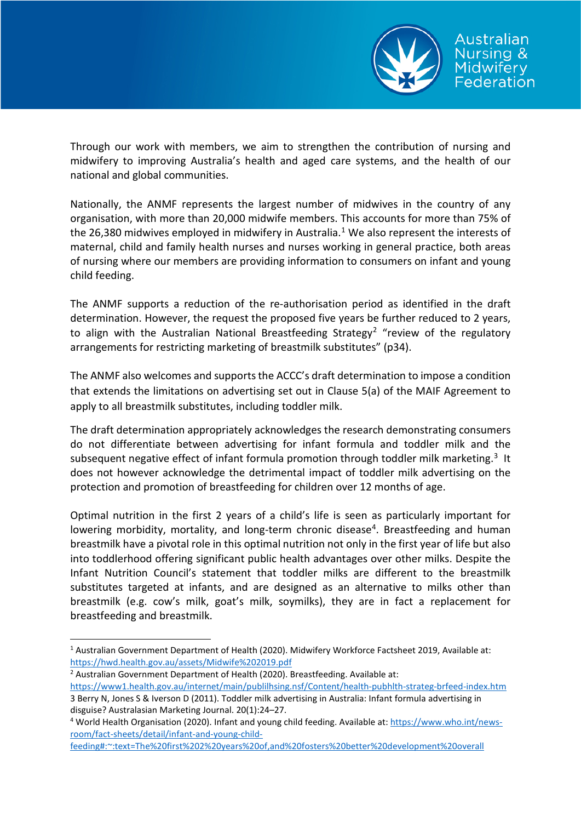

Through our work with members, we aim to strengthen the contribution of nursing and midwifery to improving Australia's health and aged care systems, and the health of our national and global communities.

Nationally, the ANMF represents the largest number of midwives in the country of any organisation, with more than 20,000 midwife members. This accounts for more than 75% of the 26,380 midwives employed in midwifery in Australia.<sup>[1](#page-1-0)</sup> We also represent the interests of maternal, child and family health nurses and nurses working in general practice, both areas of nursing where our members are providing information to consumers on infant and young child feeding.

The ANMF supports a reduction of the re-authorisation period as identified in the draft determination. However, the request the proposed five years be further reduced to 2 years, to align with the Australian National Breastfeeding Strategy<sup>[2](#page-1-1)</sup> "review of the regulatory arrangements for restricting marketing of breastmilk substitutes" (p34).

The ANMF also welcomes and supports the ACCC's draft determination to impose a condition that extends the limitations on advertising set out in Clause 5(a) of the MAIF Agreement to apply to all breastmilk substitutes, including toddler milk.

The draft determination appropriately acknowledges the research demonstrating consumers do not differentiate between advertising for infant formula and toddler milk and the subsequent negative effect of infant formula promotion through toddler milk marketing.<sup>[3](#page-1-2)</sup> It does not however acknowledge the detrimental impact of toddler milk advertising on the protection and promotion of breastfeeding for children over 12 months of age.

Optimal nutrition in the first 2 years of a child's life is seen as particularly important for lowering morbidity, mortality, and long-term chronic disease<sup>[4](#page-1-3)</sup>. Breastfeeding and human breastmilk have a pivotal role in this optimal nutrition not only in the first year of life but also into toddlerhood offering significant public health advantages over other milks. Despite the Infant Nutrition Council's statement that toddler milks are different to the breastmilk substitutes targeted at infants, and are designed as an alternative to milks other than breastmilk (e.g. cow's milk, goat's milk, soymilks), they are in fact a replacement for breastfeeding and breastmilk.

<span id="page-1-0"></span> <sup>1</sup> Australian Government Department of Health (2020). Midwifery Workforce Factsheet 2019, Available at: <https://hwd.health.gov.au/assets/Midwife%202019.pdf>

<span id="page-1-1"></span><sup>&</sup>lt;sup>2</sup> Australian Government Department of Health (2020). Breastfeeding. Available at:

<span id="page-1-2"></span><https://www1.health.gov.au/internet/main/publilhsing.nsf/Content/health-pubhlth-strateg-brfeed-index.htm> 3 Berry N, Jones S & Iverson D (2011). Toddler milk advertising in Australia: Infant formula advertising in disguise? Australasian Marketing Journal. 20(1):24–27.

<span id="page-1-3"></span><sup>&</sup>lt;sup>4</sup> World Health Organisation (2020). Infant and young child feeding. Available at: [https://www.who.int/news](https://www.who.int/news-room/fact-sheets/detail/infant-and-young-child-feeding#:%7E:text=The%20first%202%20years%20of,and%20fosters%20better%20development%20overall)[room/fact-sheets/detail/infant-and-young-child-](https://www.who.int/news-room/fact-sheets/detail/infant-and-young-child-feeding#:%7E:text=The%20first%202%20years%20of,and%20fosters%20better%20development%20overall)

[feeding#:~:text=The%20first%202%20years%20of,and%20fosters%20better%20development%20overall](https://www.who.int/news-room/fact-sheets/detail/infant-and-young-child-feeding#:%7E:text=The%20first%202%20years%20of,and%20fosters%20better%20development%20overall)